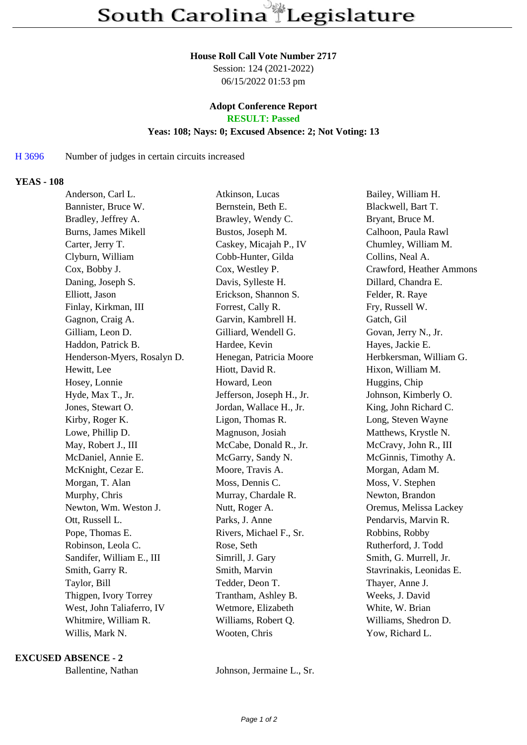#### **House Roll Call Vote Number 2717**

Session: 124 (2021-2022) 06/15/2022 01:53 pm

# **Adopt Conference Report**

**RESULT: Passed**

### **Yeas: 108; Nays: 0; Excused Absence: 2; Not Voting: 13**

#### H 3696 Number of judges in certain circuits increased

#### **YEAS - 108**

| Anderson, Carl L.         |                             | Atkinson, Lucas           | Bailey, William H.       |
|---------------------------|-----------------------------|---------------------------|--------------------------|
| Bannister, Bruce W.       |                             | Bernstein, Beth E.        | Blackwell, Bart T.       |
| Bradley, Jeffrey A.       |                             | Brawley, Wendy C.         | Bryant, Bruce M.         |
| Burns, James Mikell       |                             | Bustos, Joseph M.         | Calhoon, Paula Rawl      |
| Carter, Jerry T.          |                             | Caskey, Micajah P., IV    | Chumley, William M.      |
| Clyburn, William          |                             | Cobb-Hunter, Gilda        | Collins, Neal A.         |
| Cox, Bobby J.             |                             | Cox, Westley P.           | Crawford, Heather Ammons |
| Daning, Joseph S.         |                             | Davis, Sylleste H.        | Dillard, Chandra E.      |
| Elliott, Jason            |                             | Erickson, Shannon S.      | Felder, R. Raye          |
| Finlay, Kirkman, III      |                             | Forrest, Cally R.         | Fry, Russell W.          |
| Gagnon, Craig A.          |                             | Garvin, Kambrell H.       | Gatch, Gil               |
| Gilliam, Leon D.          |                             | Gilliard, Wendell G.      | Govan, Jerry N., Jr.     |
| Haddon, Patrick B.        |                             | Hardee, Kevin             | Hayes, Jackie E.         |
|                           | Henderson-Myers, Rosalyn D. | Henegan, Patricia Moore   | Herbkersman, William G.  |
| Hewitt, Lee               |                             | Hiott, David R.           | Hixon, William M.        |
| Hosey, Lonnie             |                             | Howard, Leon              | Huggins, Chip            |
| Hyde, Max T., Jr.         |                             | Jefferson, Joseph H., Jr. | Johnson, Kimberly O.     |
| Jones, Stewart O.         |                             | Jordan, Wallace H., Jr.   | King, John Richard C.    |
| Kirby, Roger K.           |                             | Ligon, Thomas R.          | Long, Steven Wayne       |
| Lowe, Phillip D.          |                             | Magnuson, Josiah          | Matthews, Krystle N.     |
| May, Robert J., III       |                             | McCabe, Donald R., Jr.    | McCravy, John R., III    |
| McDaniel, Annie E.        |                             | McGarry, Sandy N.         | McGinnis, Timothy A.     |
| McKnight, Cezar E.        |                             | Moore, Travis A.          | Morgan, Adam M.          |
| Morgan, T. Alan           |                             | Moss, Dennis C.           | Moss, V. Stephen         |
| Murphy, Chris             |                             | Murray, Chardale R.       | Newton, Brandon          |
| Newton, Wm. Weston J.     |                             | Nutt, Roger A.            | Oremus, Melissa Lackey   |
| Ott, Russell L.           |                             | Parks, J. Anne            | Pendarvis, Marvin R.     |
| Pope, Thomas E.           |                             | Rivers, Michael F., Sr.   | Robbins, Robby           |
| Robinson, Leola C.        |                             | Rose, Seth                | Rutherford, J. Todd      |
| Sandifer, William E., III |                             | Simrill, J. Gary          | Smith, G. Murrell, Jr.   |
| Smith, Garry R.           |                             | Smith, Marvin             | Stavrinakis, Leonidas E. |
| Taylor, Bill              |                             | Tedder, Deon T.           | Thayer, Anne J.          |
| Thigpen, Ivory Torrey     |                             | Trantham, Ashley B.       | Weeks, J. David          |
|                           | West, John Taliaferro, IV   | Wetmore, Elizabeth        | White, W. Brian          |
| Whitmire, William R.      |                             | Williams, Robert Q.       | Williams, Shedron D.     |
| Willis, Mark N.           |                             | Wooten, Chris             | Yow, Richard L.          |
|                           |                             |                           |                          |

#### **EXCUSED ABSENCE - 2**

Ballentine, Nathan Johnson, Jermaine L., Sr.